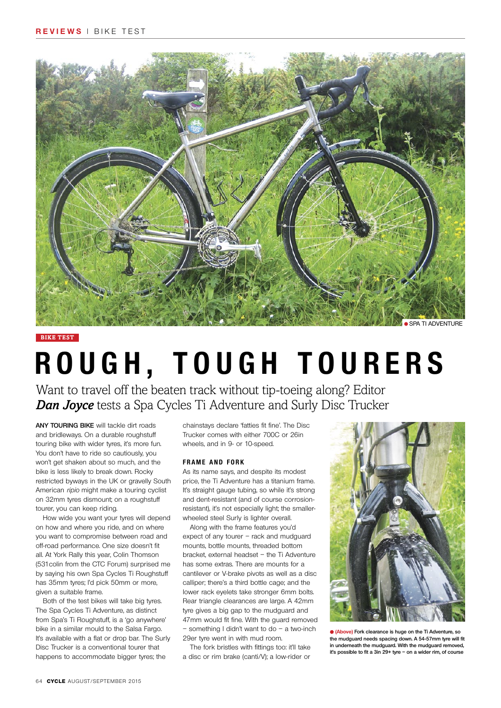

## **bike test**

# **ROUGH, TOUGH TOURERS**

Want to travel off the beaten track without tip-toeing along? Editor *Dan Joyce* tests a Spa Cycles Ti Adventure and Surly Disc Trucker

**Any touring bike** will tackle dirt roads and bridleways. On a durable roughstuff touring bike with wider tyres, it's more fun. You don't have to ride so cautiously, you won't get shaken about so much, and the bike is less likely to break down. Rocky restricted byways in the UK or gravelly South American ripio might make a touring cyclist on 32mm tyres dismount; on a roughstuff tourer, you can keep riding.

How wide you want your tyres will depend on how and where you ride, and on where you want to compromise between road and off-road performance. One size doesn't fit all. At York Rally this year, Colin Thomson (531colin from the CTC Forum) surprised me by saying his own Spa Cycles Ti Roughstuff has 35mm tyres; I'd pick 50mm or more, given a suitable frame.

Both of the test bikes will take big tyres. The Spa Cycles Ti Adventure, as distinct from Spa's Ti Roughstuff, is a 'go anywhere' bike in a similar mould to the Salsa Fargo. It's available with a flat or drop bar. The Surly Disc Trucker is a conventional tourer that happens to accommodate bigger tyres; the

chainstays declare 'fatties fit fine'. The Disc Trucker comes with either 700C or 26in wheels, and in 9- or 10-speed.

## **FRAME AND FORK**

As its name says, and despite its modest price, the Ti Adventure has a titanium frame. It's straight gauge tubing, so while it's strong and dent-resistant (and of course corrosionresistant), it's not especially light; the smallerwheeled steel Surly is lighter overall.

Along with the frame features you'd expect of any tourer – rack and mudguard mounts, bottle mounts, threaded bottom bracket, external headset – the Ti Adventure has some extras. There are mounts for a cantilever or V-brake pivots as well as a disc calliper; there's a third bottle cage; and the lower rack eyelets take stronger 6mm bolts. Rear triangle clearances are large. A 42mm tyre gives a big gap to the mudguard and 47mm would fit fine. With the guard removed – something I didn't want to do – a two-inch 29er tyre went in with mud room.

The fork bristles with fittings too: it'll take a disc or rim brake (canti/V); a low-rider or



**• (Above)** Fork clearance is huge on the Ti Adventure **the mudguard needs spacing down. A 54-57mm tyre will fit in underneath the mudguard. With the mudguard removed, it's possible to fit a 3in 29+ tyre – on a wider rim, of course**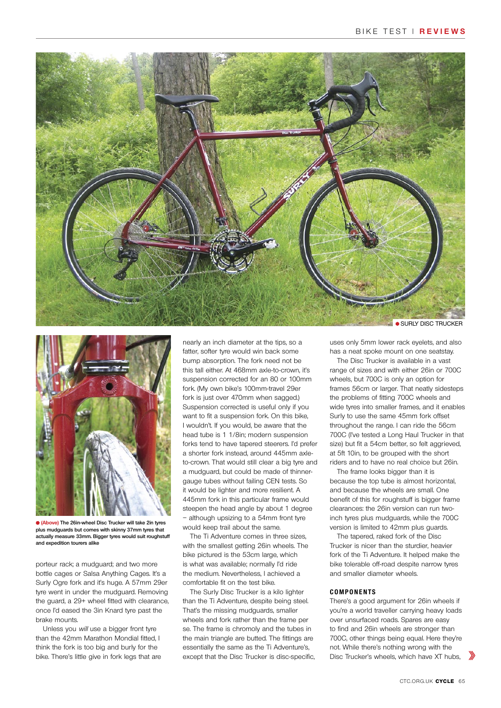



**(Above) The 26in-wheel Disc Trucker will take 2in tyres plus mudguards but comes with skinny 37mm tyres that actually measure 33mm. Bigger tyres would suit roughstuff and expedition tourers alike**

porteur rack; a mudguard; and two more bottle cages or Salsa Anything Cages. It's a Surly Ogre fork and it's huge. A 57mm 29er tyre went in under the mudguard. Removing the guard, a 29+ wheel fitted with clearance, once I'd eased the 3in Knard tyre past the brake mounts.

Unless you will use a bigger front tyre than the 42mm Marathon Mondial fitted, I think the fork is too big and burly for the bike. There's little give in fork legs that are

nearly an inch diameter at the tips, so a fatter, softer tyre would win back some bump absorption. The fork need not be this tall either. At 468mm axle-to-crown, it's suspension corrected for an 80 or 100mm fork. (My own bike's 100mm-travel 29er fork is just over 470mm when sagged.) Suspension corrected is useful only if you want to fit a suspension fork. On this bike, I wouldn't. If you would, be aware that the head tube is 1 1/8in; modern suspension forks tend to have tapered steerers. I'd prefer a shorter fork instead, around 445mm axleto-crown. That would still clear a big tyre and a mudguard, but could be made of thinnergauge tubes without failing CEN tests. So it would be lighter and more resilient. A 445mm fork in this particular frame would steepen the head angle by about 1 degree – although upsizing to a 54mm front tyre would keep trail about the same.

The Ti Adventure comes in three sizes, with the smallest getting 26in wheels. The bike pictured is the 53cm large, which is what was available; normally I'd ride the medium. Nevertheless, I achieved a comfortable fit on the test bike.

The Surly Disc Trucker is a kilo lighter than the Ti Adventure, despite being steel. That's the missing mudguards, smaller wheels and fork rather than the frame per se. The frame is chromoly and the tubes in the main triangle are butted. The fittings are essentially the same as the Ti Adventure's, except that the Disc Trucker is disc-specific,

**SURLY DISC TRUCKER** 

uses only 5mm lower rack eyelets, and also has a neat spoke mount on one seatstay.

The Disc Trucker is available in a vast range of sizes and with either 26in or 700C wheels, but 700C is only an option for frames 56cm or larger. That neatly sidesteps the problems of fitting 700C wheels and wide tyres into smaller frames, and it enables Surly to use the same 45mm fork offset throughout the range. I can ride the 56cm 700C (I've tested a Long Haul Trucker in that size) but fit a 54cm better, so felt aggrieved, at 5ft 10in, to be grouped with the short riders and to have no real choice but 26in.

The frame looks bigger than it is because the top tube is almost horizontal, and because the wheels are small. One benefit of this for roughstuff is bigger frame clearances: the 26in version can run twoinch tyres plus mudguards, while the 700C version is limited to 42mm plus guards.

The tapered, raked fork of the Disc Trucker is nicer than the sturdier, heavier fork of the Ti Adventure. It helped make the bike tolerable off-road despite narrow tyres and smaller diameter wheels.

## **C o mp o n e n ts**

There's a good argument for 26in wheels if you're a world traveller carrying heavy loads over unsurfaced roads. Spares are easy to find and 26in wheels are stronger than 700C, other things being equal. Here they're not. While there's nothing wrong with the Disc Trucker's wheels, which have XT hubs,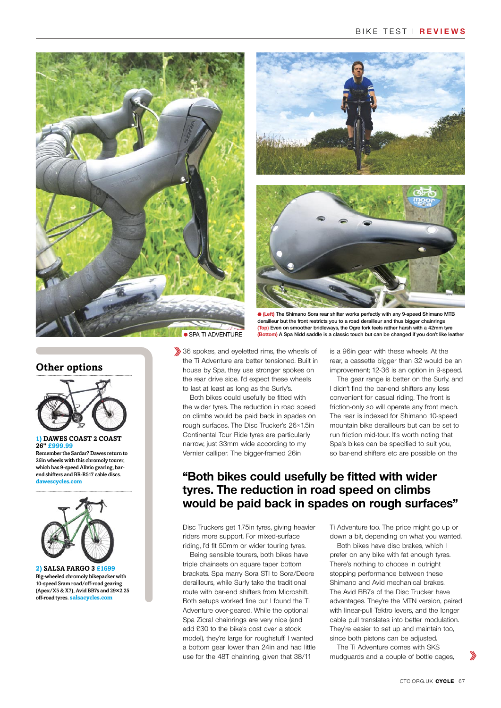





**(Left) The Shimano Sora rear shifter works perfectly with any 9-speed Shimano MTB derailleur but the front restricts you to a road derailleur and thus bigger chainrings (Top) Even on smoother bridleways, the Ogre fork feels rather harsh with a 42mm tyre (Bottom) A Spa Nidd saddle is a classic touch but can be changed if you don't like leather**

**Other options**



## **1) Dawes Coast 2 Coast 26" £999.99**

Remember the Sardar? Dawes return to 26in wheels with this chromoly tourer, which has 9-speed Alivio gearing, barend shifters and BR-R517 cable discs. **dawescycles.com**



**2) Salsa Fargo 3 £1699** Big-wheeled chromoly bikepacker with 10-speed Sram road/off-road gearing (Apex/X5 & X7), Avid BB7s and 29**×**2.25 off-road tyres. **salsacycles.com**

36 spokes, and eyeletted rims, the wheels of the Ti Adventure are better tensioned. Built in house by Spa, they use stronger spokes on the rear drive side. I'd expect these wheels to last at least as long as the Surly's.

Both bikes could usefully be fitted with the wider tyres. The reduction in road speed on climbs would be paid back in spades on rough surfaces. The Disc Trucker's 26×1.5in Continental Tour Ride tyres are particularly narrow, just 33mm wide according to my Vernier calliper. The bigger-framed 26in

is a 96in gear with these wheels. At the rear, a cassette bigger than 32 would be an improvement; 12-36 is an option in 9-speed.

The gear range is better on the Surly, and I didn't find the bar-end shifters any less convenient for casual riding. The front is friction-only so will operate any front mech. The rear is indexed for Shimano 10-speed mountain bike derailleurs but can be set to run friction mid-tour. It's worth noting that Spa's bikes can be specified to suit you, so bar-end shifters etc are possible on the

## **"Both bikes could usefully be fitted with wider tyres. The reduction in road speed on climbs would be paid back in spades on rough surfaces"**

Disc Truckers get 1.75in tyres, giving heavier riders more support. For mixed-surface riding, I'd fit 50mm or wider touring tyres.

Being sensible tourers, both bikes have triple chainsets on square taper bottom brackets. Spa marry Sora STI to Sora/Deore derailleurs, while Surly take the traditional route with bar-end shifters from Microshift. Both setups worked fine but I found the Ti Adventure over-geared. While the optional Spa Zicral chainrings are very nice (and add £30 to the bike's cost over a stock model), they're large for roughstuff. I wanted a bottom gear lower than 24in and had little use for the 48T chainring, given that 38/11

Ti Adventure too. The price might go up or down a bit, depending on what you wanted.

Both bikes have disc brakes, which I prefer on any bike with fat enough tyres. There's nothing to choose in outright stopping performance between these Shimano and Avid mechanical brakes. The Avid BB7s of the Disc Trucker have advantages. They're the MTN version, paired with linear-pull Tektro levers, and the longer cable pull translates into better modulation. They're easier to set up and maintain too, since both pistons can be adjusted.

The Ti Adventure comes with SKS mudguards and a couple of bottle cages,